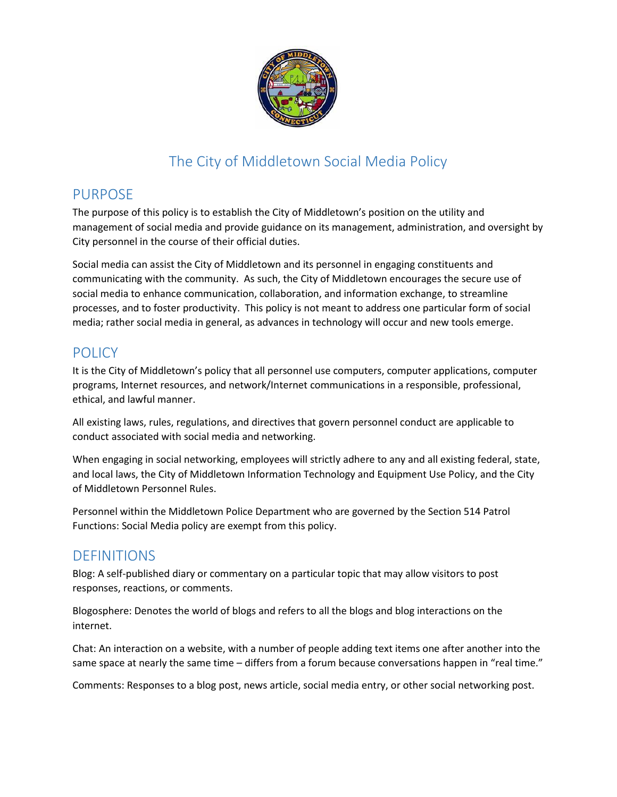

# The City of Middletown Social Media Policy

## PURPOSE

The purpose of this policy is to establish the City of Middletown's position on the utility and management of social media and provide guidance on its management, administration, and oversight by City personnel in the course of their official duties.

Social media can assist the City of Middletown and its personnel in engaging constituents and communicating with the community. As such, the City of Middletown encourages the secure use of social media to enhance communication, collaboration, and information exchange, to streamline processes, and to foster productivity. This policy is not meant to address one particular form of social media; rather social media in general, as advances in technology will occur and new tools emerge.

# **POLICY**

It is the City of Middletown's policy that all personnel use computers, computer applications, computer programs, Internet resources, and network/Internet communications in a responsible, professional, ethical, and lawful manner.

All existing laws, rules, regulations, and directives that govern personnel conduct are applicable to conduct associated with social media and networking.

When engaging in social networking, employees will strictly adhere to any and all existing federal, state, and local laws, the City of Middletown Information Technology and Equipment Use Policy, and the City of Middletown Personnel Rules.

Personnel within the Middletown Police Department who are governed by the Section 514 Patrol Functions: Social Media policy are exempt from this policy.

# DEFINITIONS

Blog: A self-published diary or commentary on a particular topic that may allow visitors to post responses, reactions, or comments.

Blogosphere: Denotes the world of blogs and refers to all the blogs and blog interactions on the internet.

Chat: An interaction on a website, with a number of people adding text items one after another into the same space at nearly the same time – differs from a forum because conversations happen in "real time."

Comments: Responses to a blog post, news article, social media entry, or other social networking post.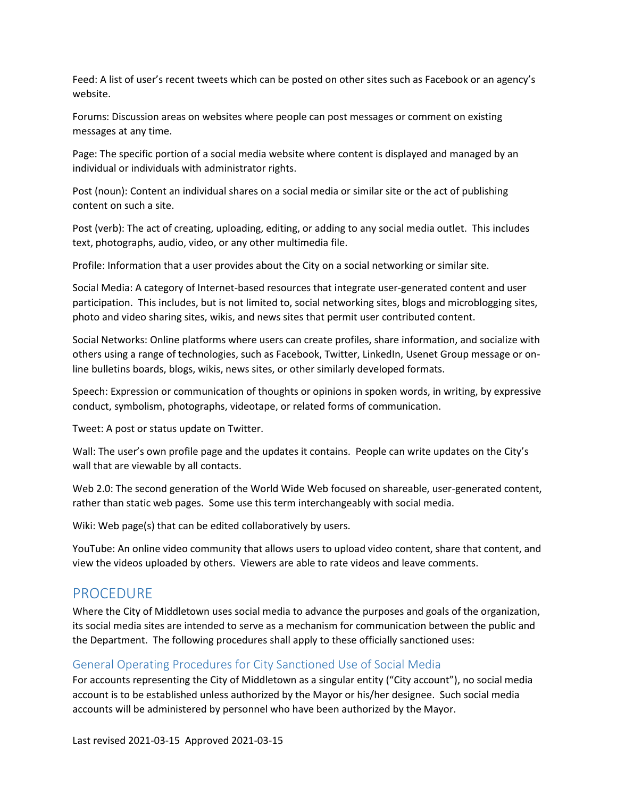Feed: A list of user's recent tweets which can be posted on other sites such as Facebook or an agency's website.

Forums: Discussion areas on websites where people can post messages or comment on existing messages at any time.

Page: The specific portion of a social media website where content is displayed and managed by an individual or individuals with administrator rights.

Post (noun): Content an individual shares on a social media or similar site or the act of publishing content on such a site.

Post (verb): The act of creating, uploading, editing, or adding to any social media outlet. This includes text, photographs, audio, video, or any other multimedia file.

Profile: Information that a user provides about the City on a social networking or similar site.

Social Media: A category of Internet-based resources that integrate user-generated content and user participation. This includes, but is not limited to, social networking sites, blogs and microblogging sites, photo and video sharing sites, wikis, and news sites that permit user contributed content.

Social Networks: Online platforms where users can create profiles, share information, and socialize with others using a range of technologies, such as Facebook, Twitter, LinkedIn, Usenet Group message or online bulletins boards, blogs, wikis, news sites, or other similarly developed formats.

Speech: Expression or communication of thoughts or opinions in spoken words, in writing, by expressive conduct, symbolism, photographs, videotape, or related forms of communication.

Tweet: A post or status update on Twitter.

Wall: The user's own profile page and the updates it contains. People can write updates on the City's wall that are viewable by all contacts.

Web 2.0: The second generation of the World Wide Web focused on shareable, user-generated content, rather than static web pages. Some use this term interchangeably with social media.

Wiki: Web page(s) that can be edited collaboratively by users.

YouTube: An online video community that allows users to upload video content, share that content, and view the videos uploaded by others. Viewers are able to rate videos and leave comments.

### PROCEDURE

Where the City of Middletown uses social media to advance the purposes and goals of the organization, its social media sites are intended to serve as a mechanism for communication between the public and the Department. The following procedures shall apply to these officially sanctioned uses:

### General Operating Procedures for City Sanctioned Use of Social Media

For accounts representing the City of Middletown as a singular entity ("City account"), no social media account is to be established unless authorized by the Mayor or his/her designee. Such social media accounts will be administered by personnel who have been authorized by the Mayor.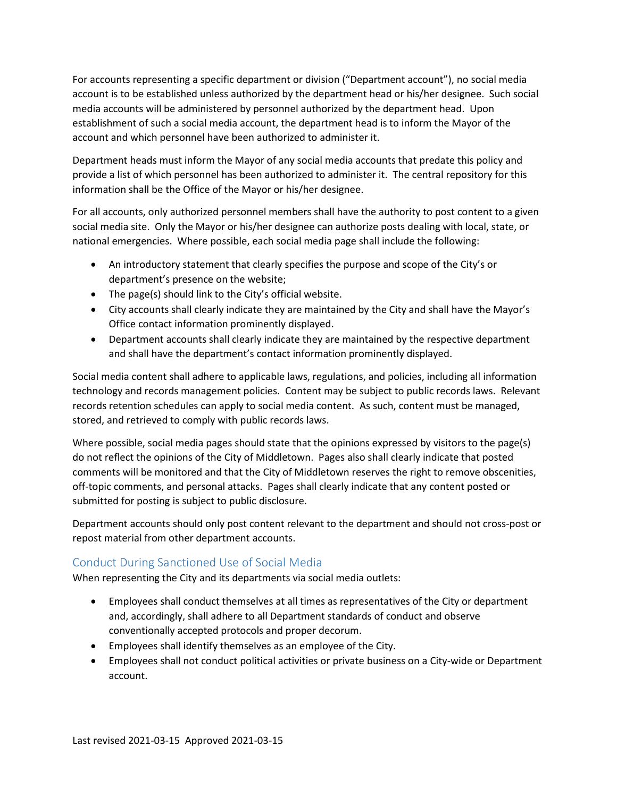For accounts representing a specific department or division ("Department account"), no social media account is to be established unless authorized by the department head or his/her designee. Such social media accounts will be administered by personnel authorized by the department head. Upon establishment of such a social media account, the department head is to inform the Mayor of the account and which personnel have been authorized to administer it.

Department heads must inform the Mayor of any social media accounts that predate this policy and provide a list of which personnel has been authorized to administer it. The central repository for this information shall be the Office of the Mayor or his/her designee.

For all accounts, only authorized personnel members shall have the authority to post content to a given social media site. Only the Mayor or his/her designee can authorize posts dealing with local, state, or national emergencies. Where possible, each social media page shall include the following:

- An introductory statement that clearly specifies the purpose and scope of the City's or department's presence on the website;
- The page(s) should link to the City's official website.
- City accounts shall clearly indicate they are maintained by the City and shall have the Mayor's Office contact information prominently displayed.
- Department accounts shall clearly indicate they are maintained by the respective department and shall have the department's contact information prominently displayed.

Social media content shall adhere to applicable laws, regulations, and policies, including all information technology and records management policies. Content may be subject to public records laws. Relevant records retention schedules can apply to social media content. As such, content must be managed, stored, and retrieved to comply with public records laws.

Where possible, social media pages should state that the opinions expressed by visitors to the page(s) do not reflect the opinions of the City of Middletown. Pages also shall clearly indicate that posted comments will be monitored and that the City of Middletown reserves the right to remove obscenities, off-topic comments, and personal attacks. Pages shall clearly indicate that any content posted or submitted for posting is subject to public disclosure.

Department accounts should only post content relevant to the department and should not cross-post or repost material from other department accounts.

### Conduct During Sanctioned Use of Social Media

When representing the City and its departments via social media outlets:

- Employees shall conduct themselves at all times as representatives of the City or department and, accordingly, shall adhere to all Department standards of conduct and observe conventionally accepted protocols and proper decorum.
- Employees shall identify themselves as an employee of the City.
- Employees shall not conduct political activities or private business on a City-wide or Department account.